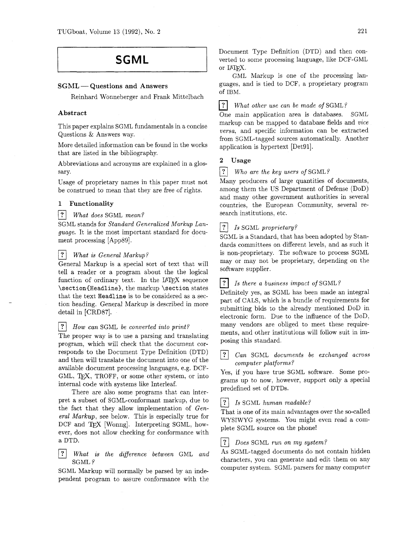# **SGML**

# **SGML** - **Questions and Answers**

Reinhard Wonneberger and Frank Mittelbach

### **Abstract**

This paper explains SGML fundamentals in a concise Questions & Answers way.

More detailed information can be found in the works that are listed in the bibliography.

Abbreviations and acronyms are explained in a glossary.

Usage of proprietary names in this paper must not be construed to mean that they are free of rights.

# **1 Functionality**

**?** What does SGML mean?

SGML stands for *Standard Generalized Markup Language.* It is the most important standard for document processing [App89].

## **7** *What is General Markup?*

General Markup is a special sort of text that will tell a reader or a program about the the logical function of ordinary text. In the  $IATEX$  sequence \section(Headline), the markup \section states that the text Headline is to be considered as a section heading. General Markup is described in more detail in [CRD87].

#### $|?|$ *How can* SGML *be converted into print?*

The proper way is to use a parsing and translating program, which will check that the document corresponds to the Document Type Definition (DTD) and then will translate the document into one of the available document processing languages, e.g. DCF-GML, T<sub>R</sub>X, TROFF, or some other system, or into internal code with systems like Interleaf.

There are also some programs that can interpret a subset of SGML-conformant markup, due to the fact that they allow implementation of *General Markup,* see below, This is especially true for DCF and T<sub>F</sub>X [Wonng]. Interpreting SGML, however, does not allow checking for conformance with<br>a DTD.<br> $\boxed{?}$  What is the difference between GML and a DTD.

# *What is the diflerence between* GML *and*  SGML ?

SGML Markup will normally be parsed by an independent program to assure conformance with the Document Type Definition (DTD) and then converted to some processing language, like DCF-GML or IATFX.

GML Markup is one of the processing languages, and is tied to DCF, a proprietary program of IBM.

*What other use can be made of* SGML?  $|?|$ 

One main application area is databases. SGML markup can be mapped to database fields and *vice versa,* and specific information can be extracted from SGML-tagged sources automatically. Another application is hypertext [Det91].

# **2 Usage**

 $|?|$ *Who are the key users of* SGML?

Many producers of large quantities of documents, among them the US Department of Defense (DoD) and many other government authorities in several countries, the European Community, several research institutions, etc.

#### $|?|$ *Is* SGML *proprietary?*

SGML is a Standard, that has been adopted by Standards committees on different levels, and as such it is non-proprietary. The software to process SGML may or may not be proprietary, depending on the software supplier.

# *Is there a business impact of* SGML?

Definitely yes, as SGML has been made an integral part of CALS, which is a bundle of requirements for submitting bids to the already mentioned DoD in electronic form. Due to the influence of the DoD, many vendors are obliged to meet these requirements, and other institutions will follow suit in imposing this standard.

#### $\left| \cdot \right|$ *Can* SGML *documents be exchanged across computer platforms?*

Yes, if you have true SGML software. Some programs up to now, however, support only a special predefined set of DTDs.

#### $|?|$ *Is* SGML *human readable?*

That is one of its main advantages over the so-called WYSIWYG systems. You might even read a complete SGML source on the phone!

### *Does* SGML *run on my system?*

As SGML-tagged documents do not contain hidden characters, you can generate and edit them on any computer system. SGML parsers for many computer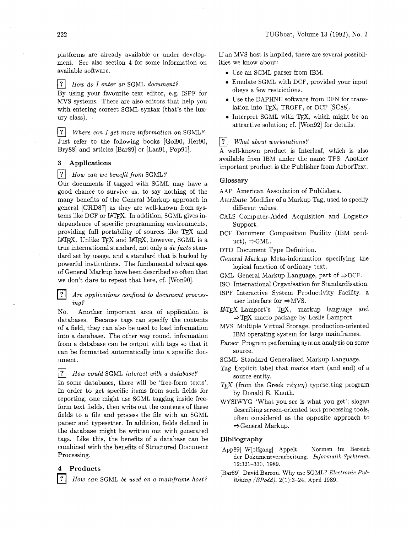platforms are already available or under development. See also section 4 for some information on available software.

#### $|?|$ *How do I enter an* SGML *document?*

By using your favourite text editor, e.g. ISPF for MVS systems. There are also editors that help you with entering correct SGML syntax (that's the luxury class).

 $|?|$ *Where can I get more information on* SGML? Just refer to the following books [Go190, Her90, Bry88] and articles [Bar89] or [Laa91, Pop91].

# **3 Applications**

 $\boxed{?}$ *How can we benefit from* SGML?

Our documents if tagged with SGML may have a good chance to survive us, to say nothing of the many benefits of the General Markup approach in general [CRD87] as they are well-known from systems like DCF or IATFX. In addition, SGML gives independence of specific programming environments, providing full portability of sources like TFX and  $IATFX$ . Unlike TFX and  $IATFX$ , however, SGML is a true international standard, not only a *de facto* standard set by usage, and a standard that is backed by powerful institutions. The fundamental advantages of General Markup have been described so often that we don't dare to repeat that here, cf. [Won90].

 $\vert$  ?  $\vert$ Are applications confined to document process*ing?* 

No. Another important area of application is databases. Because tags can specify the contents of a field, they can also be used to load information into a database. The other way round, information from a database can be output with tags so that it can be formatted automatically into a specific document.

 $|?|$ *How could* SGML *interact with a database?* 

In some databases, there will be 'free-form texts'. In order to get specific items from such fields for reporting, one might use SGML tagging inside freeform text fields, then write out the contents of these fields to a file and process the file with an SGML parser and typesetter. In addition, fields defined in the database might be written out with generated tags. Like this, the benefits of a database can be combined with the benefits of Structured Document Processing.

# **4 Products**

 $|?|$ *How can* SGML *be used on a mainframe host?*  If an MVS host is implied, there are several possibilities we know about:

- **0** Use an SGML parser from IBM.
- **<sup>0</sup>**Emulate SGML with DCF, provided your input obeys a few restrictions.
- Use the DAPHNE software from DFN for translation into TEX, TROFF, or DCF [SC88].
- **0** Interpret SGML with TEX, which might be an attractive solution; cf. [Won92] for details.

#### $|?|$ *What about workstations?*

A well-known product is Interleaf, which is also available from IBM under the name TPS. Another important product is the Publisher from ArborText.

### **Glossary**

AAP American Association of Publishers.

- *Attribute* Modifier of a Markup Tag, used to specify different values.
- CALS Computer-Aided Acquisition and Logistics Support.
- DCF Document Composition Facility (IBM prod $uct$ ,  $\Rightarrow$  GML.
- DTD Document Type Definition.
- *General Markup* Meta-information specifying the logical function of ordinary text.
- GML General Markup Language, part of  $\Rightarrow$  DCF.
- IS0 International Organisation for Standardisation.
- ISPF Interactive System Productivity Facility, a user interface for  $\Rightarrow$ MVS.
- Lamport's TEX, markup language and  $\Rightarrow$ TFX macro package by Leslie Lamport.
- MVS Multiple Virtual Storage, production-oriented IBM operating system for large mainframes.
- *Parser* Program performing syntax analysis on some source.
- SGML Standard Generalized Markup Language.
- *Tag* Explicit label that marks start (and end) of a source entity.
- T<sub>F</sub>X (from the Greek  $\tau \varepsilon \chi \nu \eta$ ) typesetting program by Donald E. Knuth.
- WYSIWYG 'What you see is what you get'; slogan describing screen-oriented text processing tools, often considered as the opposite approach to  $\Rightarrow$ General Markup.

### **Bibliography**

- [App89] W[olfgang] Appelt. Normen im Bereich der Dokumentverarbeitung. Informatik-Spektrum, 12:321-330, 1989.
- [Bar891 David Barron. Why use SGML? Electronic *Publishing (EPodd)*, 2(1):3-24, April 1989.